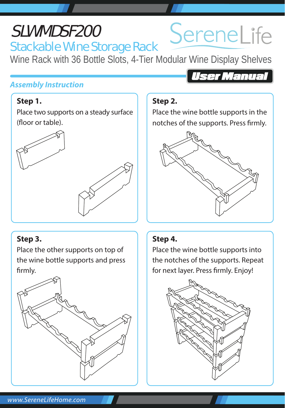# Stackable Wine Storage Rack SLWMDSF200

Wine Rack with 36 Bottle Slots, 4-Tier Modular Wine Display Shelves

### *Assembly Instruction*

#### **Step 1.**

Place two supports on a steady surface (floor or table).





# **Step 3.**

Place the other supports on top of the wine bottle supports and press firmly.



# User Manual

SereneLife

### **Step 2.**

Place the wine bottle supports in the notches of the supports. Press firmly.



#### **Step 4.**

Place the wine bottle supports into the notches of the supports. Repeat for next layer. Press firmly. Enjoy!